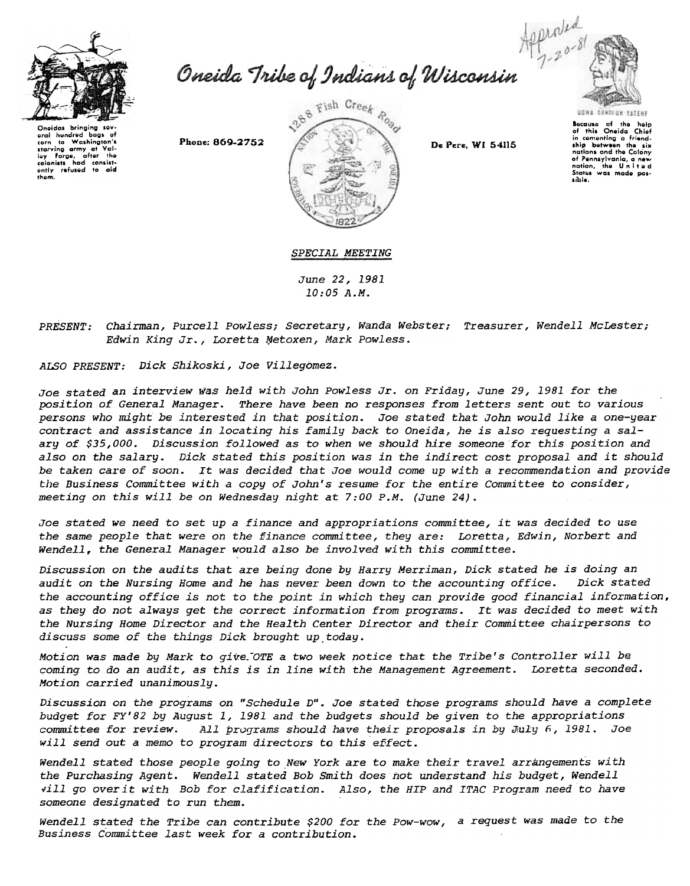

Oneida Tribe of Indians of Wisconsin



Oneidas bringing ser oral hundred hoos - of to Washingto corn starving army at Val-<br>lev Forge, after the ring<br>Forge, a<br>had ordinists had consist-<br>only refused to aid<br>them. lay Forg<br>colonists

Phone: 869-2752



De Pere, WI 54115

Because of the help<br>of this Oneida Chief in comenting a friend-<br>ship between the six nations and the Colony nations and the word,<br>of Pennsylvania, a new<br>nation, the United<br>States was made possible.

SPECIAL MEETING

June 22, 1981  $10:05A.M.$ 

PRESENT: Chairman, Purcell Powless; Secretary, Wanda Webster; Treasurer, Wendell McLester; Edwin King Jr., Loretta Metoxen, Mark Powless.

ALSO PRESENT: Dick Shikoski, Joe Villegomez.

Joe stated an interview was held with John Powless Jr. on Friday, June 29, 1981 for the position of General Manager. There have been no responses from letters sent out to various persons who might be interested in that position. Joe stated that John would like a one-year contract and assistance in locating his family back to Oneida, he is also requesting a salary of \$35,000. Discussion followed as to when we should hire someone for this position and also on the salary. Dick stated this position was in the indirect cost proposal and it should be taken care of soon. It was decided that Joe would come up with a recommendation and provide the Business Committee with a copy of John's resume for the entire Committee to consider, meeting on this will be on Wednesday night at 7:00 P.M. (June 24).

Joe stated we need to set up a finance and appropriations committee, it was decided to use the same people that were on the finance committee, they are: Loretta, Edwin, Norbert and Wendell, the General Manager would also be involved with this committee.

Discussion on the audits that are being done by Harry Merriman, Dick stated he is doing an audit on the Nursing Home and he has never been down to the accounting office. Dick stated the accounting office is not to the point in which they can provide good financial information, as they do not always get the correct information from programs. It was decided to meet with the Nursing Home Director and the Health Center Director and their Committee chairpersons to discuss some of the things Dick brought up today.

Motion was made by Mark to give. OTE a two week notice that the Tribe's Controller will be coming to do an audit, as this is in line with the Management Agreement. Loretta seconded. Motion carried unanimously.

Discussion on the programs on "Schedule D". Joe stated those programs should have a complete budget for FY'82 by August 1, 1981 and the budgets should be given to the appropriations committee for review. All programs should have their proposals in by July 6, 1981. Joe will send out a memo to program directors to this effect.

Wendell stated those people going to New York are to make their travel arrangements with the Purchasing Agent. Wendell stated Bob Smith does not understand his budget, Wendell vill go overit with Bob for clafification. Also, the HIP and ITAC Program need to have someone designated to run them.

Wendell stated the Tribe can contribute \$200 for the Pow-wow, a request was made to the Business Committee last week for a contribution.